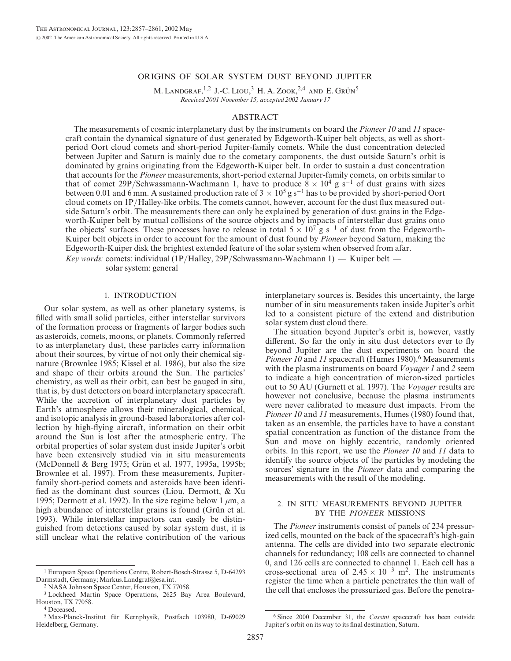# ORIGINS OF SOLAR SYSTEM DUST BEYOND JUPITER

M. LANDGRAF,<sup>1,2</sup> J.-C. LIOU,<sup>3</sup> H. A. ZOOK,<sup>2,4</sup> AND E. GRÜN<sup>5</sup> Received 2001 November 15; accepted 2002 January 17

## ABSTRACT

The measurements of cosmic interplanetary dust by the instruments on board the *Pioneer 10* and 11 spacecraft contain the dynamical signature of dust generated by Edgeworth-Kuiper belt objects, as well as shortperiod Oort cloud comets and short-period Jupiter-family comets. While the dust concentration detected between Jupiter and Saturn is mainly due to the cometary components, the dust outside Saturn's orbit is dominated by grains originating from the Edgeworth-Kuiper belt. In order to sustain a dust concentration that accounts for the Pioneer measurements, short-period external Jupiter-family comets, on orbits similar to that of comet 29P/Schwassmann-Wachmann 1, have to produce  $\bar{8} \times 10^4$  g s<sup>-1</sup> of dust grains with sizes between 0.01 and 6 mm. A sustained production rate of  $3 \times 10^5$  g s<sup>-1</sup> has to be provided by short-period Oort cloud comets on 1P/Halley-like orbits. The comets cannot, however, account for the dust flux measured outside Saturn's orbit. The measurements there can only be explained by generation of dust grains in the Edgeworth-Kuiper belt by mutual collisions of the source objects and by impacts of interstellar dust grains onto the objects' surfaces. These processes have to release in total  $5 \times 10^7$  g s<sup>-1</sup> of dust from the Edgeworth-Kuiper belt objects in order to account for the amount of dust found by Pioneer beyond Saturn, making the Edgeworth-Kuiper disk the brightest extended feature of the solar system when observed from afar.

Key words: comets: individual (1P/Halley, 29P/Schwassmann-Wachmann 1) — Kuiper belt solar system: general

## 1. INTRODUCTION

Our solar system, as well as other planetary systems, is filled with small solid particles, either interstellar survivors of the formation process or fragments of larger bodies such as asteroids, comets, moons, or planets. Commonly referred to as interplanetary dust, these particles carry information about their sources, by virtue of not only their chemical signature (Brownlee 1985; Kissel et al. 1986), but also the size and shape of their orbits around the Sun. The particles' chemistry, as well as their orbit, can best be gauged in situ, that is, by dust detectors on board interplanetary spacecraft. While the accretion of interplanetary dust particles by Earth's atmosphere allows their mineralogical, chemical, and isotopic analysis in ground-based laboratories after collection by high-flying aircraft, information on their orbit around the Sun is lost after the atmospheric entry. The orbital properties of solar system dust inside Jupiter's orbit have been extensively studied via in situ measurements (McDonnell & Berg 1975; Grün et al. 1977, 1995a, 1995b; Brownlee et al. 1997). From these measurements, Jupiterfamily short-period comets and asteroids have been identified as the dominant dust sources (Liou, Dermott, & Xu 1995; Dermott et al. 1992). In the size regime below 1  $\mu$ m, a high abundance of interstellar grains is found (Grün et al. 1993). While interstellar impactors can easily be distinguished from detections caused by solar system dust, it is still unclear what the relative contribution of the various

interplanetary sources is. Besides this uncertainty, the large number of in situ measurements taken inside Jupiter's orbit led to a consistent picture of the extend and distribution solar system dust cloud there.

The situation beyond Jupiter's orbit is, however, vastly different. So far the only in situ dust detectors ever to fly beyond Jupiter are the dust experiments on board the *Pioneer 10* and 11 spacecraft (Humes 1980).<sup>6</sup> Measurements with the plasma instruments on board *Voyager 1* and 2 seem to indicate a high concentration of micron-sized particles out to 50 AU (Gurnett et al. 1997). The Voyager results are however not conclusive, because the plasma instruments were never calibrated to measure dust impacts. From the Pioneer 10 and 11 measurements, Humes (1980) found that, taken as an ensemble, the particles have to have a constant spatial concentration as function of the distance from the Sun and move on highly eccentric, randomly oriented orbits. In this report, we use the Pioneer 10 and 11 data to identify the source objects of the particles by modeling the sources' signature in the *Pioneer* data and comparing the measurements with the result of the modeling.

# 2. IN SITU MEASUREMENTS BEYOND JUPITER BY THE PIONEER MISSIONS

The Pioneer instruments consist of panels of 234 pressurized cells, mounted on the back of the spacecraft's high-gain antenna. The cells are divided into two separate electronic channels for redundancy; 108 cells are connected to channel 0, and 126 cells are connected to channel 1. Each cell has a cross-sectional area of  $2.45 \times 10^{-3}$  m<sup>2</sup>. The instruments register the time when a particle penetrates the thin wall of the cell that encloses the pressurized gas. Before the penetra-

<sup>1</sup> European Space Operations Centre, Robert-Bosch-Strasse 5, D-64293 Darmstadt, Germany; Markus.Landgraf@esa.int.

<sup>2</sup> NASA Johnson Space Center, Houston, TX 77058.

<sup>3</sup> Lockheed Martin Space Operations, 2625 Bay Area Boulevard, Houston, TX 77058.

<sup>4</sup> Deceased.

<sup>&</sup>lt;sup>5</sup> Max-Planck-Institut für Kernphysik, Postfach 103980, D-69029 Heidelberg, Germany.

<sup>6</sup> Since 2000 December 31, the Cassini spacecraft has been outside Jupiter's orbit on its way to its final destination, Saturn.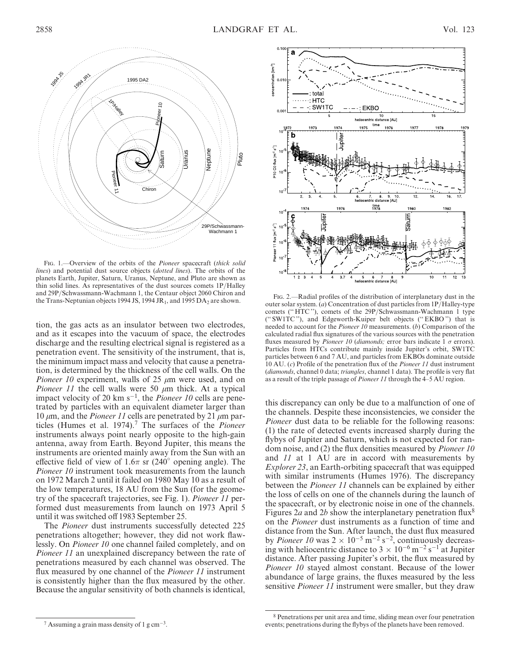

FIG. 1.--Overview of the orbits of the Pioneer spacecraft (thick solid lines) and potential dust source objects (dotted lines). The orbits of the planets Earth, Jupiter, Saturn, Uranus, Neptune, and Pluto are shown as thin solid lines. As representatives of the dust sources comets 1P/Halley and 29P/Schwassmann-Wachmann 1, the Centaur object 2060 Chiron and the Trans-Neptunian objects 1994 JS, 1994 JR<sub>1</sub>, and 1995 DA<sub>2</sub> are shown. Fig. 2.—Radial profiles of the distribution of interplanetary dust in the Trans-Neptunian objects 1994 JS, 1994 JR<sub>1</sub>, and 1995 DA<sub>2</sub> are shown. e

tion, the gas acts as an insulator between two electrodes, and as it escapes into the vacuum of space, the electrodes discharge and the resulting electrical signal is registered as a penetration event. The sensitivity of the instrument, that is, the minimum impact mass and velocity that cause a penetration, is determined by the thickness of the cell walls. On the Pioneer 10 experiment, walls of 25  $\mu$ m were used, and on *Pioneer 11* the cell walls were 50  $\mu$ m thick. At a typical impact velocity of 20  $km s^{-1}$ , the *Pioneer 10* cells are penetrated by particles with an equivalent diameter larger than 10  $\mu$ m, and the *Pioneer 11* cells are penetrated by 21  $\mu$ m particles (Humes et al. 1974).<sup>7</sup> The surfaces of the *Pioneer* instruments always point nearly opposite to the high-gain antenna, away from Earth. Beyond Jupiter, this means the instruments are oriented mainly away from the Sun with an effective field of view of  $1.6\pi$  sr (240 $^{\circ}$  opening angle). The Pioneer 10 instrument took measurements from the launch on 1972 March 2 until it failed on 1980 May 10 as a result of the low temperatures, 18 AU from the Sun (for the geometry of the spacecraft trajectories, see Fig. 1). Pioneer 11 performed dust measurements from launch on 1973 April 5 until it was switched off 1983 September 25. Explore the proof of the set of the proof of the set of the proof of the set of the proof of the set of the set of the set of the set of the set of the set of the set of the set of the set of the set of the set of the set

The Pioneer dust instruments successfully detected 225 penetrations altogether; however, they did not work flawlessly. On Pioneer 10 one channel failed completely, and on Pioneer 11 an unexplained discrepancy between the rate of penetrations measured by each channel was observed. The flux measured by one channel of the *Pioneer 11* instrument is consistently higher than the flux measured by the other. Because the angular sensitivity of both channels is identical,



outer solar system. (a) Concentration of dust particles from 1P/Halley-type comets ("HTC"), comets of the 29P/Schwassmann-Wachmann 1 type ('' SW1TC ''), and Edgeworth-Kuiper belt objects ('' EKBO '') that is needed to account for the *Pioneer 10* measurements. (b) Comparison of the calculated radial flux signatures of the various sources with the penetration fluxes measured by *Pioneer 10 (diamonds;* error bars indicate  $1 \sigma$  errors). Particles from HTCs contribute mainly inside Jupiter's orbit, SW1TC particles between 6 and 7 AU, and particles from EKBOs dominate outside 10 AU. (c) Profile of the penetration flux of the Pioneer 11 dust instrument (diamonds, channel 0 data; triangles, channel 1 data). The profile is very flat as a result of the triple passage of Pioneer 11 through the 4–5 AU region.

this discrepancy can only be due to a malfunction of one of the channels. Despite these inconsistencies, we consider the Pioneer dust data to be reliable for the following reasons: (1) the rate of detected events increased sharply during the flybys of Jupiter and Saturn, which is not expected for random noise, and (2) the flux densities measured by Pioneer 10 and 11 at 1 AU are in accord with measurements by Explorer 23, an Earth-orbiting spacecraft that was equipped with similar instruments (Humes 1976). The discrepancy between the Pioneer 11 channels can be explained by either the loss of cells on one of the channels during the launch of the spacecraft, or by electronic noise in one of the channels. Figures 2a and 2b show the interplanetary penetration flux<sup>8</sup> on the Pioneer dust instruments as a function of time and distance from the Sun. After launch, the dust flux measured by *Pioneer 10* was  $2 \times 10^{-5}$  m<sup>-2</sup> s<sup>-2</sup>, continuously decreasing with heliocentric distance to  $3 \times 10^{-6}$  m<sup>-2</sup> s<sup>-1</sup> at Jupiter distance. After passing Jupiter's orbit, the flux measured by Pioneer 10 stayed almost constant. Because of the lower abundance of large grains, the fluxes measured by the less sensitive *Pioneer 11* instrument were smaller, but they draw

<sup>&</sup>lt;sup>7</sup> Assuming a grain mass density of 1 g cm<sup>-3</sup>.

<sup>8</sup> Penetrations per unit area and time, sliding mean over four penetration events; penetrations during the flybys of the planets have been removed.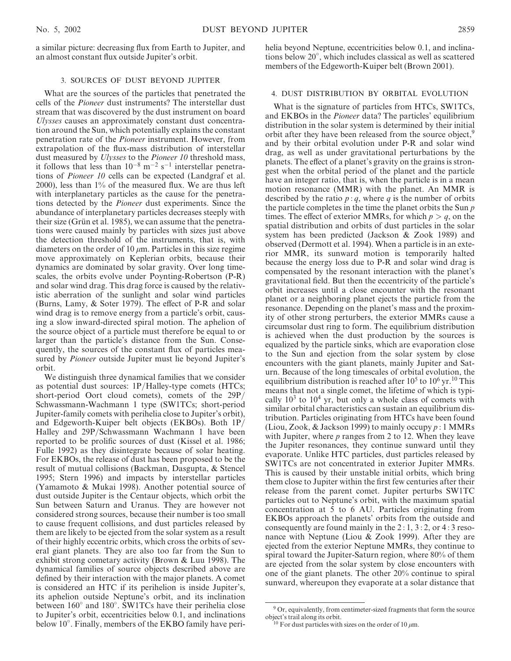helia beyond Neptune, eccentricities below 0.1, and inclinations below 20 , which includes classical as well as scattered members of the Edgeworth-Kuiper belt (Brown 2001).

# 3. SOURCES OF DUST BEYOND JUPITER

What are the sources of the particles that penetrated the cells of the Pioneer dust instruments? The interstellar dust stream that was discovered by the dust instrument on board Ulysses causes an approximately constant dust concentration around the Sun, which potentially explains the constant penetration rate of the Pioneer instrument. However, from extrapolation of the flux-mass distribution of interstellar dust measured by *Ulysses* to the *Pioneer 10* threshold mass, it follows that less than  $10^{-8}$  m<sup>-2</sup> s<sup>-1</sup> interstellar penetrations of Pioneer 10 cells can be expected (Landgraf et al. 2000), less than 1% of the measured flux. We are thus left with interplanetary particles as the cause for the penetrations detected by the Pioneer dust experiments. Since the abundance of interplanetary particles decreases steeply with their size (Grün et al. 1985), we can assume that the penetrations were caused mainly by particles with sizes just above the detection threshold of the instruments, that is, with diameters on the order of 10  $\mu$ m. Particles in this size regime move approximately on Keplerian orbits, because their dynamics are dominated by solar gravity. Over long timescales, the orbits evolve under Poynting-Robertson (P-R) and solar wind drag. This drag force is caused by the relativistic aberration of the sunlight and solar wind particles (Burns, Lamy, & Soter 1979). The effect of P-R and solar wind drag is to remove energy from a particle's orbit, causing a slow inward-directed spiral motion. The aphelion of the source object of a particle must therefore be equal to or larger than the particle's distance from the Sun. Consequently, the sources of the constant flux of particles measured by Pioneer outside Jupiter must lie beyond Jupiter's orbit.

We distinguish three dynamical families that we consider as potential dust sources: 1P/Halley-type comets (HTCs; short-period Oort cloud comets), comets of the 29P/ Schwassmann-Wachmann 1 type (SW1TCs; short-period Jupiter-family comets with perihelia close to Jupiter's orbit), and Edgeworth-Kuiper belt objects (EKBOs). Both 1P/ Halley and 29P/Schwassmann Wachmann 1 have been reported to be prolific sources of dust (Kissel et al. 1986; Fulle 1992) as they disintegrate because of solar heating. For EKBOs, the release of dust has been proposed to be the result of mutual collisions (Backman, Dasgupta, & Stencel 1995; Stern 1996) and impacts by interstellar particles (Yamamoto & Mukai 1998). Another potential source of dust outside Jupiter is the Centaur objects, which orbit the Sun between Saturn and Uranus. They are however not considered strong sources, because their number is too small to cause frequent collisions, and dust particles released by them are likely to be ejected from the solar system as a result of their highly eccentric orbits, which cross the orbits of several giant planets. They are also too far from the Sun to exhibit strong cometary activity (Brown & Luu 1998). The dynamical families of source objects described above are defined by their interaction with the major planets. A comet is considered an HTC if its perihelion is inside Jupiter's, its aphelion outside Neptune's orbit, and its inclination between 160° and 180°. SW1TCs have their perihelia close to Jupiter's orbit, eccentricities below 0.1, and inclinations below 10°. Finally, members of the EKBO family have peri-

# 4. DUST DISTRIBUTION BY ORBITAL EVOLUTION

What is the signature of particles from HTCs, SW1TCs, and EKBOs in the Pioneer data? The particles' equilibrium distribution in the solar system is determined by their initial orbit after they have been released from the source object,<sup>9</sup> and by their orbital evolution under P-R and solar wind drag, as well as under gravitational perturbations by the planets. The effect of a planet's gravity on the grains is strongest when the orbital period of the planet and the particle have an integer ratio, that is, when the particle is in a mean motion resonance (MMR) with the planet. An MMR is described by the ratio  $p : q$ , where q is the number of orbits the particle completes in the time the planet orbits the Sun  $p$ times. The effect of exterior MMRs, for which  $p > q$ , on the spatial distribution and orbits of dust particles in the solar system has been predicted (Jackson & Zook 1989) and observed (Dermott et al. 1994). When a particle is in an exterior MMR, its sunward motion is temporarily halted because the energy loss due to P-R and solar wind drag is compensated by the resonant interaction with the planet's gravitational field. But then the eccentricity of the particle's orbit increases until a close encounter with the resonant planet or a neighboring planet ejects the particle from the resonance. Depending on the planet's mass and the proximity of other strong perturbers, the exterior MMRs cause a circumsolar dust ring to form. The equilibrium distribution is achieved when the dust production by the sources is equalized by the particle sinks, which are evaporation close to the Sun and ejection from the solar system by close encounters with the giant planets, mainly Jupiter and Saturn. Because of the long timescales of orbital evolution, the equilibrium distribution is reached after  $10^5$  to  $10^6$  yr.<sup>10</sup> This means that not a single comet, the lifetime of which is typically  $10<sup>3</sup>$  to  $10<sup>4</sup>$  yr, but only a whole class of comets with similar orbital characteristics can sustain an equilibrium distribution. Particles originating from HTCs have been found (Liou, Zook, & Jackson 1999) to mainly occupy  $p:1$  MMRs with Jupiter, where  $p$  ranges from 2 to 12. When they leave the Jupiter resonances, they continue sunward until they evaporate. Unlike HTC particles, dust particles released by SW1TCs are not concentrated in exterior Jupiter MMRs. This is caused by their unstable initial orbits, which bring them close to Jupiter within the first few centuries after their release from the parent comet. Jupiter perturbs SW1TC particles out to Neptune's orbit, with the maximum spatial concentration at 5 to 6 AU. Particles originating from EKBOs approach the planets' orbits from the outside and consequently are found mainly in the 2 : 1, 3 : 2, or 4 : 3 resonance with Neptune (Liou & Zook 1999). After they are ejected from the exterior Neptune MMRs, they continue to spiral toward the Jupiter-Saturn region, where 80% of them are ejected from the solar system by close encounters with one of the giant planets. The other 20% continue to spiral sunward, whereupon they evaporate at a solar distance that

<sup>&</sup>lt;sup>9</sup> Or, equivalently, from centimeter-sized fragments that form the source object's trail along its orbit.

<sup>&</sup>lt;sup>10</sup> For dust particles with sizes on the order of 10  $\mu$ m.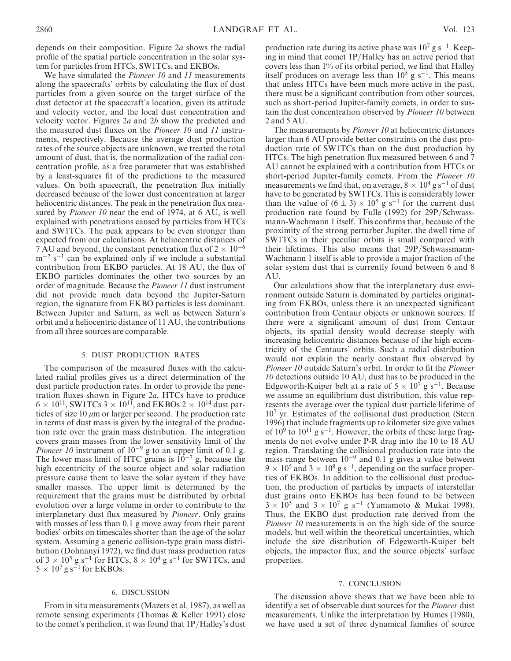depends on their composition. Figure 2a shows the radial profile of the spatial particle concentration in the solar system for particles from HTCs, SW1TCs, and EKBOs.

We have simulated the *Pioneer 10* and 11 measurements along the spacecrafts' orbits by calculating the flux of dust particles from a given source on the target surface of the dust detector at the spacecraft's location, given its attitude and velocity vector, and the local dust concentration and velocity vector. Figures  $2a$  and  $2b$  show the predicted and the measured dust fluxes on the Pioneer 10 and 11 instruments, respectively. Because the average dust production rates of the source objects are unknown, we treated the total amount of dust, that is, the normalization of the radial concentration profile, as a free parameter that was established by a least-squares fit of the predictions to the measured values. On both spacecraft, the penetration flux initially decreased because of the lower dust concentration at larger heliocentric distances. The peak in the penetration flux measured by *Pioneer 10* near the end of 1974, at 6 AU, is well explained with penetrations caused by particles from HTCs and SW1TCs. The peak appears to be even stronger than expected from our calculations. At heliocentric distances of 7 AU and beyond, the constant penetration flux of  $2 \times 10^{-6}$  $m^{-2}$  s<sup>-1</sup> can be explained only if we include a substantial contribution from EKBO particles. At 18 AU, the flux of EKBO particles dominates the other two sources by an order of magnitude. Because the Pioneer 11 dust instrument did not provide much data beyond the Jupiter-Saturn region, the signature from EKBO particles is less dominant. Between Jupiter and Saturn, as well as between Saturn's orbit and a heliocentric distance of 11 AU, the contributions from all three sources are comparable.

### 5. DUST PRODUCTION RATES

The comparison of the measured fluxes with the calculated radial profiles gives us a direct determination of the dust particle production rates. In order to provide the penetration fluxes shown in Figure 2a, HTCs have to produce  $6 \times 10^{11}$ , SW1TCs 3  $\times 10^{11}$ , and EKBOs 2  $\times 10^{14}$  dust particles of size 10  $\mu$ m or larger per second. The production rate in terms of dust mass is given by the integral of the production rate over the grain mass distribution. The integration covers grain masses from the lower sensitivity limit of the *Pioneer 10* instrument of  $10^{-9}$  g to an upper limit of 0.1 g. The lower mass limit of HTC grains is  $10^{-7}$  g, because the high eccentricity of the source object and solar radiation pressure cause them to leave the solar system if they have smaller masses. The upper limit is determined by the requirement that the grains must be distributed by orbital evolution over a large volume in order to contribute to the interplanetary dust flux measured by Pioneer. Only grains with masses of less than 0.1 g move away from their parent bodies' orbits on timescales shorter than the age of the solar system. Assuming a generic collision-type grain mass distribution (Dohnanyi 1972), we find dust mass production rates of  $3 \times 10^5$  g s<sup>-1</sup> for HTCs,  $8 \times 10^4$  g s<sup>-1</sup> for SW1TCs, and  $5 \times 10^7$  g s<sup>-1</sup> for EKBOs.

## 6. DISCUSSION

From in situ measurements (Mazets et al. 1987), as well as remote sensing experiments (Thomas & Keller 1991) close to the comet's perihelion, it was found that 1P/Halley's dust

production rate during its active phase was  $10^7$  g s<sup>-1</sup>. Keeping in mind that comet 1P/Halley has an active period that covers less than 1% of its orbital period, we find that Halley itself produces on average less than  $10^5$  g s<sup>-1</sup>. This means that unless HTCs have been much more active in the past, there must be a significant contribution from other sources, such as short-period Jupiter-family comets, in order to sustain the dust concentration observed by Pioneer 10 between 2 and 5 AU.

The measurements by *Pioneer 10* at heliocentric distances larger than 6 AU provide better constraints on the dust production rate of SW1TCs than on the dust production by HTCs. The high penetration flux measured between 6 and 7 AU cannot be explained with a contribution from HTCs or short-period Jupiter-family comets. From the *Pioneer 10* measurements we find that, on average,  $8 \times 10^4$  g s<sup>-1</sup> of dust have to be generated by SW1TCs. This is considerably lower than the value of  $(6 \pm 3) \times 10^5$  g s<sup>-1</sup> for the current dust production rate found by Fulle (1992) for 29P/Schwassmann-Wachmann 1 itself. This confirms that, because of the proximity of the strong perturber Jupiter, the dwell time of SW1TCs in their peculiar orbits is small compared with their lifetimes. This also means that 29P/Schwassmann-Wachmann 1 itself is able to provide a major fraction of the solar system dust that is currently found between 6 and 8 AU.

Our calculations show that the interplanetary dust environment outside Saturn is dominated by particles originating from EKBOs, unless there is an unexpected significant contribution from Centaur objects or unknown sources. If there were a significant amount of dust from Centaur objects, its spatial density would decrease steeply with increasing heliocentric distances because of the high eccentricity of the Centaurs' orbits. Such a radial distribution would not explain the nearly constant flux observed by Pioneer 10 outside Saturn's orbit. In order to fit the Pioneer 10 detections outside 10 AU, dust has to be produced in the Edgeworth-Kuiper belt at a rate of  $5 \times 10^7$  g s<sup>-1</sup>. Because we assume an equilibrium dust distribution, this value represents the average over the typical dust particle lifetime of  $10<sup>7</sup>$  yr. Estimates of the collisional dust production (Stern 1996) that include fragments up to kilometer size give values of  $10^9$  to  $10^{11}$  g s<sup>-1</sup>. However, the orbits of these large fragments do not evolve under P-R drag into the 10 to 18 AU region. Translating the collisional production rate into the mass range between  $10^{-9}$  and 0.1 g gives a value between  $9 \times 10^5$  and  $3 \times 10^8$  g s<sup>-1</sup>, depending on the surface properties of EKBOs. In addition to the collisional dust production, the production of particles by impacts of interstellar dust grains onto EKBOs has been found to be between  $3 \times 10^5$  and  $3 \times 10^7$  g s<sup>-1</sup> (Yamamoto & Mukai 1998). Thus, the EKBO dust production rate derived from the Pioneer 10 measurements is on the high side of the source models, but well within the theoretical uncertainties, which include the size distribution of Edgeworth-Kuiper belt objects, the impactor flux, and the source objects' surface properties.

#### 7. CONCLUSION

The discussion above shows that we have been able to identify a set of observable dust sources for the Pioneer dust measurements. Unlike the interpretation by Humes (1980), we have used a set of three dynamical families of source